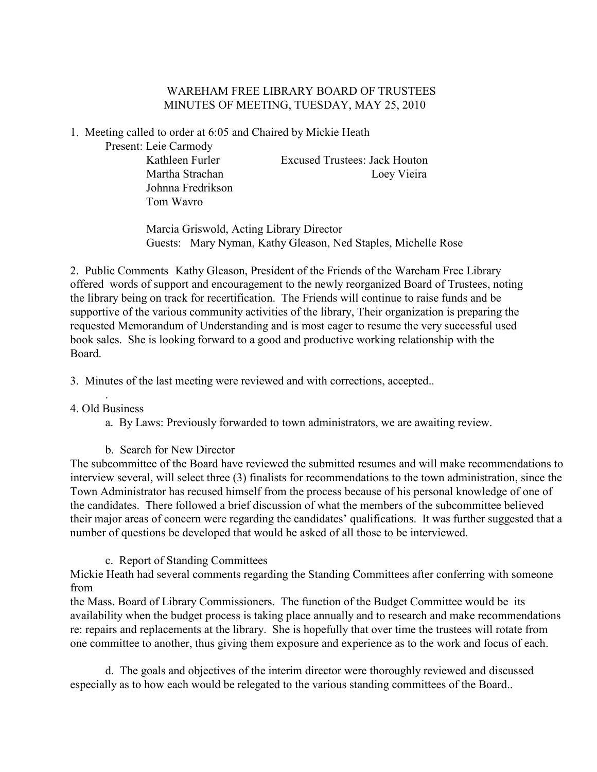# WAREHAM FREE LIBRARY BOARD OF TRUSTEES MINUTES OF MEETING, TUESDAY, MAY 25, 2010

1. Meeting called to order at 6:05 and Chaired by Mickie Heath

Present: Leie Carmody

 Johnna Fredrikson Tom Wavro

 Kathleen Furler Excused Trustees: Jack Houton Martha Strachan Loey Vieira

 Marcia Griswold, Acting Library Director Guests: Mary Nyman, Kathy Gleason, Ned Staples, Michelle Rose

2. Public Comments Kathy Gleason, President of the Friends of the Wareham Free Library offered words of support and encouragement to the newly reorganized Board of Trustees, noting the library being on track for recertification. The Friends will continue to raise funds and be supportive of the various community activities of the library, Their organization is preparing the requested Memorandum of Understanding and is most eager to resume the very successful used book sales. She is looking forward to a good and productive working relationship with the Board.

3. Minutes of the last meeting were reviewed and with corrections, accepted..

#### . 4. Old Business

a. By Laws: Previously forwarded to town administrators, we are awaiting review.

# b. Search for New Director

The subcommittee of the Board have reviewed the submitted resumes and will make recommendations to interview several, will select three (3) finalists for recommendations to the town administration, since the Town Administrator has recused himself from the process because of his personal knowledge of one of the candidates. There followed a brief discussion of what the members of the subcommittee believed their major areas of concern were regarding the candidates' qualifications. It was further suggested that a number of questions be developed that would be asked of all those to be interviewed.

# c. Report of Standing Committees

Mickie Heath had several comments regarding the Standing Committees after conferring with someone from

the Mass. Board of Library Commissioners. The function of the Budget Committee would be its availability when the budget process is taking place annually and to research and make recommendations re: repairs and replacements at the library. She is hopefully that over time the trustees will rotate from one committee to another, thus giving them exposure and experience as to the work and focus of each.

d. The goals and objectives of the interim director were thoroughly reviewed and discussed especially as to how each would be relegated to the various standing committees of the Board..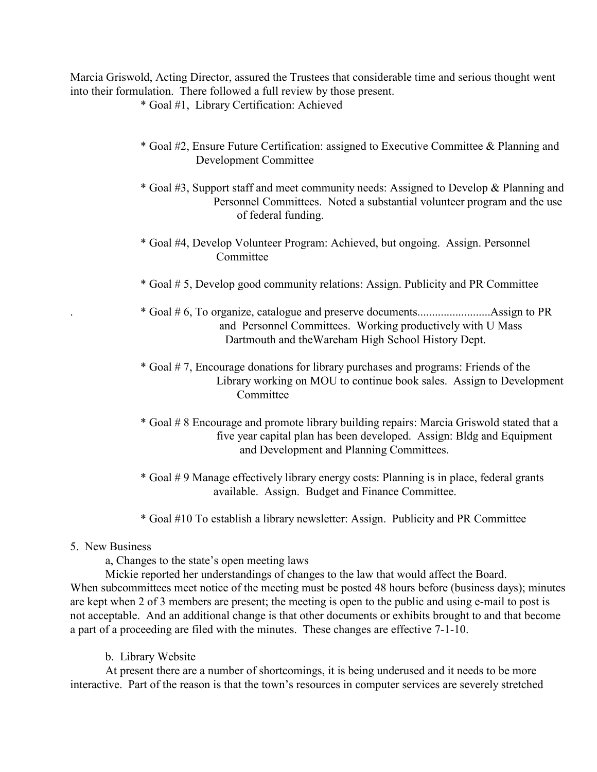Marcia Griswold, Acting Director, assured the Trustees that considerable time and serious thought went into their formulation. There followed a full review by those present.

\* Goal #1, Library Certification: Achieved

- \* Goal #2, Ensure Future Certification: assigned to Executive Committee & Planning and Development Committee
- \* Goal #3, Support staff and meet community needs: Assigned to Develop & Planning and Personnel Committees. Noted a substantial volunteer program and the use of federal funding.
- \* Goal #4, Develop Volunteer Program: Achieved, but ongoing. Assign. Personnel Committee
- \* Goal # 5, Develop good community relations: Assign. Publicity and PR Committee
- . \* Goal # 6, To organize, catalogue and preserve documents.........................Assign to PR and Personnel Committees. Working productively with U Mass Dartmouth and theWareham High School History Dept.
- \* Goal # 7, Encourage donations for library purchases and programs: Friends of the Library working on MOU to continue book sales. Assign to Development **Committee**
- \* Goal # 8 Encourage and promote library building repairs: Marcia Griswold stated that a five year capital plan has been developed. Assign: Bldg and Equipment and Development and Planning Committees.
- \* Goal # 9 Manage effectively library energy costs: Planning is in place, federal grants available. Assign. Budget and Finance Committee.
- \* Goal #10 To establish a library newsletter: Assign. Publicity and PR Committee

## 5. New Business

a, Changes to the state's open meeting laws

Mickie reported her understandings of changes to the law that would affect the Board. When subcommittees meet notice of the meeting must be posted 48 hours before (business days); minutes are kept when 2 of 3 members are present; the meeting is open to the public and using e-mail to post is not acceptable. And an additional change is that other documents or exhibits brought to and that become a part of a proceeding are filed with the minutes. These changes are effective 7-1-10.

b. Library Website

At present there are a number of shortcomings, it is being underused and it needs to be more interactive. Part of the reason is that the town's resources in computer services are severely stretched